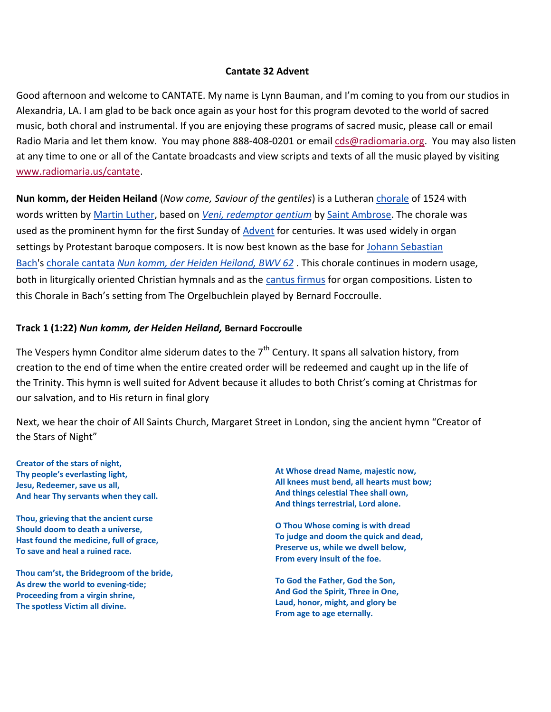#### **Cantate 32 Advent**

Good afternoon and welcome to CANTATE. My name is Lynn Bauman, and I'm coming to you from our studios in Alexandria, LA. I am glad to be back once again as your host for this program devoted to the world of sacred music, both choral and instrumental. If you are enjoying these programs of sacred music, please call or email Radio Maria and let them know. You may phone 888-408-0201 or email [cds@radiomaria.org.](mailto:cds@radiomaria.org) You may also listen at any time to one or all of the Cantate broadcasts and view scripts and texts of all the music played by visiting [www.radiomaria.us/cantate.](http://www.radiomaria.us/cantate)

**Nun komm, der Heiden Heiland** (*Now come, Saviour of the gentiles*) is a Lutheran [chorale](http://en.wikipedia.org/wiki/Chorale) of 1524 with words written by [Martin Luther,](http://en.wikipedia.org/wiki/Martin_Luther) based on *[Veni, redemptor gentium](http://en.wikipedia.org/wiki/Ambrosian_hymns)* by [Saint Ambrose.](http://en.wikipedia.org/wiki/Saint_Ambrose) The chorale was used as the prominent hymn for the first Sunday of [Advent](http://en.wikipedia.org/wiki/Advent) for centuries. It was used widely in organ settings by Protestant baroque composers. It is now best known as the base for Johann Sebastian [Bach'](http://en.wikipedia.org/wiki/Johann_Sebastian_Bach)s [chorale cantata](http://en.wikipedia.org/wiki/Chorale_cantata) *[Nun komm, der Heiden Heiland, BWV 62](http://en.wikipedia.org/wiki/Nun_komm,_der_Heiden_Heiland,_BWV_62)* . This chorale continues in modern usage, both in liturgically oriented Christian hymnals and as the [cantus firmus](http://en.wikipedia.org/wiki/Cantus_firmus) for organ compositions. Listen to this Chorale in Bach's setting from The Orgelbuchlein played by Bernard Foccroulle.

### **Track 1 (1:22)** *Nun komm, der Heiden Heiland,* **Bernard Foccroulle**

The Vespers hymn Conditor alme siderum dates to the  $7<sup>th</sup>$  Century. It spans all salvation history, from creation to the end of time when the entire created order will be redeemed and caught up in the life of the Trinity. This hymn is well suited for Advent because it alludes to both Christ's coming at Christmas for our salvation, and to His return in final glory

Next, we hear the choir of All Saints Church, Margaret Street in London, sing the ancient hymn "Creator of the Stars of Night"

**Creator of the stars of night, Thy people's everlasting light, Jesu, Redeemer, save us all, And hear Thy servants when they call.**

**Thou, grieving that the ancient curse Should doom to death a universe, Hast found the medicine, full of grace, To save and heal a ruined race.**

**Thou cam'st, the Bridegroom of the bride, As drew the world to evening-tide; Proceeding from a virgin shrine, The spotless Victim all divine.**

**At Whose dread Name, majestic now, All knees must bend, all hearts must bow; And things celestial Thee shall own, And things terrestrial, Lord alone.**

**O Thou Whose coming is with dread To judge and doom the quick and dead, Preserve us, while we dwell below, From every insult of the foe.**

**To God the Father, God the Son, And God the Spirit, Three in One, Laud, honor, might, and glory be From age to age eternally.**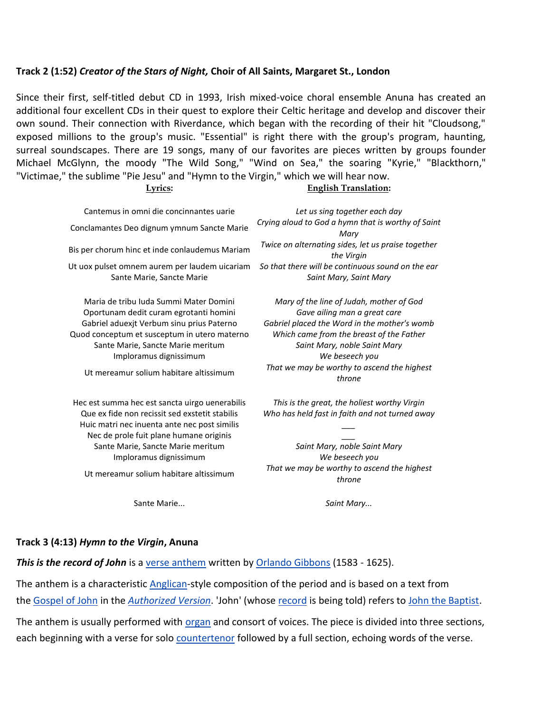#### **Track 2 (1:52)** *Creator of the Stars of Night,* **Choir of All Saints, Margaret St., London**

Since their first, self-titled debut CD in 1993, Irish mixed-voice choral ensemble Anuna has created an additional four excellent CDs in their quest to explore their Celtic heritage and develop and discover their own sound. Their connection with Riverdance, which began with the recording of their hit "Cloudsong," exposed millions to the group's music. "Essential" is right there with the group's program, haunting, surreal soundscapes. There are 19 songs, many of our favorites are pieces written by groups founder Michael McGlynn, the moody "The Wild Song," "Wind on Sea," the soaring "Kyrie," "Blackthorn," "Victimae," the sublime "Pie Jesu" and "Hymn to the Virgin," which we will hear now.

#### **Lyrics: English Translation:**

Cantemus in omni die concinnantes uarie *Let us sing together each day* Sante Marie, Sancte Marie *Saint Mary, Saint Mary*

Oportunam dedit curam egrotanti homini *Gave ailing man a great care* Quod conceptum et susceptum in utero materno *Which came from the breast of the Father* Sante Marie, Sancte Marie meritum *Saint Mary, noble Saint Mary* Imploramus dignissimum *We beseech you*

Hec est summa hec est sancta uirgo uenerabilis *This is the great, the holiest worthy Virgin* Huic matri nec inuenta ante nec post similis *\_\_\_* Nec de prole fuit plane humane originis *\_\_\_* Sante Marie, Sancte Marie meritum *Saint Mary, noble Saint Mary* Imploramus dignissimum *We beseech you*

Sante Marie... *Saint Mary...*

Conclamantes Deo dignum ymnum Sancte Marie *Crying aloud to God a hymn that is worthy of Saint Mary* Bis per chorum hinc et inde conlaudemus Mariam *Twice on alternating sides, let us praise together the Virgin* Ut uox pulset omnem aurem per laudem uicariam *So that there will be continuous sound on the ear*

Maria de tribu Iuda Summi Mater Domini *Mary of the line of Judah, mother of God* Gabriel aduexjt Verbum sinu prius Paterno *Gabriel placed the Word in the mother's womb* Ut mereamur solium habitare altissimum *That we may be worthy to ascend the highest throne*

Que ex fide non recissit sed exstetit stabilis *Who has held fast in faith and not turned away*

Ut mereamur solium habitare altissimum *That we may be worthy to ascend the highest throne*

#### **Track 3 (4:13)** *Hymn to the Virgin***, Anuna**

*This is the record of John* is a [verse anthem](http://en.wikipedia.org/wiki/Verse_anthem) written by [Orlando Gibbons](http://en.wikipedia.org/wiki/Orlando_Gibbons) (1583 - 1625).

The anthem is a characteristic [Anglican-](http://en.wikipedia.org/wiki/Church_of_England)style composition of the period and is based on a text from the [Gospel of John](http://en.wikipedia.org/wiki/Gospel_of_John) in the *[Authorized Version](http://en.wikipedia.org/wiki/Authorized_Version)*. 'John' (whose [record](http://en.wikipedia.org/wiki/Testament) is being told) refers to [John the Baptist.](http://en.wikipedia.org/wiki/John_the_Baptist)

The anthem is usually performed with [organ](http://en.wikipedia.org/wiki/Organ_(instrument)) and consort of voices. The piece is divided into three sections, each beginning with a verse for solo [countertenor](http://en.wikipedia.org/wiki/Countertenor) followed by a full section, echoing words of the verse.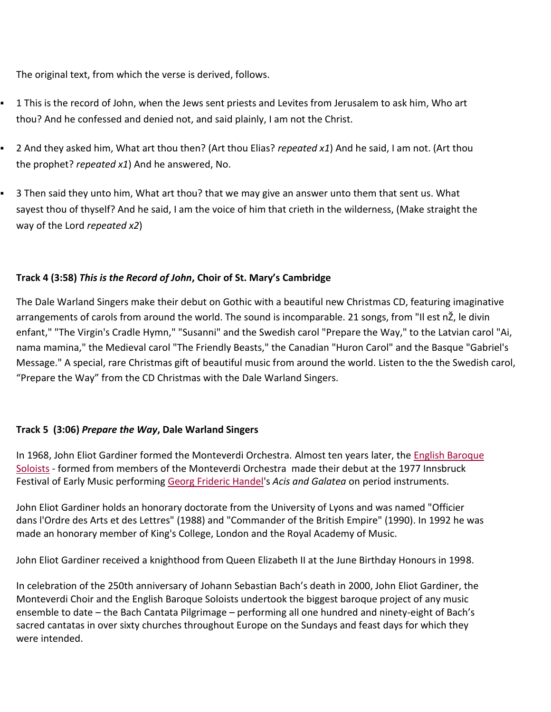The original text, from which the verse is derived, follows.

- 1 This is the record of John, when the Jews sent priests and Levites from Jerusalem to ask him, Who art thou? And he confessed and denied not, and said plainly, I am not the Christ.
- 2 And they asked him, What art thou then? (Art thou Elias? *repeated x1*) And he said, I am not. (Art thou the prophet? *repeated x1*) And he answered, No.
- 3 Then said they unto him, What art thou? that we may give an answer unto them that sent us. What sayest thou of thyself? And he said, I am the voice of him that crieth in the wilderness, (Make straight the way of the Lord *repeated x2*)

## **Track 4 (3:58)** *This is the Record of John***, Choir of St. Mary's Cambridge**

The Dale Warland Singers make their debut on Gothic with a beautiful new Christmas CD, featuring imaginative arrangements of carols from around the world. The sound is incomparable. 21 songs, from "Il est nŽ, le divin enfant," "The Virgin's Cradle Hymn," "Susanni" and the Swedish carol "Prepare the Way," to the Latvian carol "Ai, nama mamina," the Medieval carol "The Friendly Beasts," the Canadian "Huron Carol" and the Basque "Gabriel's Message." A special, rare Christmas gift of beautiful music from around the world. Listen to the the Swedish carol, "Prepare the Way" from the CD Christmas with the Dale Warland Singers.

## **Track 5 (3:06)** *Prepare the Way***, Dale Warland Singers**

In 1968, John Eliot Gardiner formed the Monteverdi Orchestra. Almost ten years later, the [English Baroque](http://www.bach-cantatas.com/Bio/English-Baroque-Soloists.htm)  [Soloists](http://www.bach-cantatas.com/Bio/English-Baroque-Soloists.htm) - formed from members of the Monteverdi Orchestra made their debut at the 1977 Innsbruck Festival of Early Music performing [Georg Frideric Handel'](http://www.bach-cantatas.com/Lib/Handel.htm)s *Acis and Galatea* on period instruments.

John Eliot Gardiner holds an honorary doctorate from the University of Lyons and was named "Officier dans l'Ordre des Arts et des Lettres" (1988) and "Commander of the British Empire" (1990). In 1992 he was made an honorary member of King's College, London and the Royal Academy of Music.

John Eliot Gardiner received a knighthood from Queen Elizabeth II at the June Birthday Honours in 1998.

In celebration of the 250th anniversary of Johann Sebastian Bach's death in 2000, John Eliot Gardiner, the Monteverdi Choir and the English Baroque Soloists undertook the biggest baroque project of any music ensemble to date – the Bach Cantata Pilgrimage – performing all one hundred and ninety-eight of Bach's sacred cantatas in over sixty churches throughout Europe on the Sundays and feast days for which they were intended.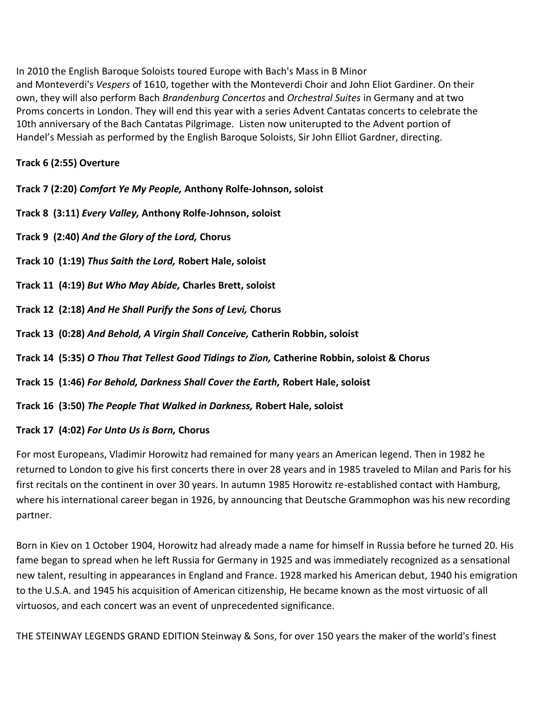In 2010 the English Baroque Soloists toured Europe with Bach's Mass in B Minor and Monteverdi's *Vespers* of 1610, together with the Monteverdi Choir and John Eliot Gardiner. On their own, they will also perform Bach *Brandenburg Concertos* and *Orchestral Suites* in Germany and at two Proms concerts in London. They will end this year with a series Advent Cantatas concerts to celebrate the 10th anniversary of the Bach Cantatas Pilgrimage. Listen now uniterupted to the Advent portion of Handel's Messiah as performed by the English Baroque Soloists, Sir John Elliot Gardner, directing.

# **Track 6 (2:55) Overture**

**Track 7 (2:20)** *Comfort Ye My People,* **Anthony Rolfe-Johnson, soloist**

**Track 8 (3:11)** *Every Valley,* **Anthony Rolfe-Johnson, soloist**

**Track 9 (2:40)** *And the Glory of the Lord,* **Chorus**

**Track 10 (1:19)** *Thus Saith the Lord,* **Robert Hale, soloist**

**Track 11 (4:19)** *But Who May Abide,* **Charles Brett, soloist**

**Track 12 (2:18)** *And He Shall Purify the Sons of Levi,* **Chorus**

**Track 13 (0:28)** *And Behold, A Virgin Shall Conceive,* **Catherin Robbin, soloist**

**Track 14 (5:35)** *O Thou That Tellest Good Tidings to Zion,* **Catherine Robbin, soloist & Chorus**

**Track 15 (1:46)** *For Behold, Darkness Shall Cover the Earth,* **Robert Hale, soloist**

**Track 16 (3:50)** *The People That Walked in Darkness,* **Robert Hale, soloist**

## **Track 17 (4:02)** *For Unto Us is Born,* **Chorus**

For most Europeans, Vladimir Horowitz had remained for many years an American legend. Then in 1982 he returned to London to give his first concerts there in over 28 years and in 1985 traveled to Milan and Paris for his first recitals on the continent in over 30 years. In autumn 1985 Horowitz re-established contact with Hamburg, where his international career began in 1926, by announcing that Deutsche Grammophon was his new recording partner.

Born in Kiev on 1 October 1904, Horowitz had already made a name for himself in Russia before he turned 20. His fame began to spread when he left Russia for Germany in 1925 and was immediately recognized as a sensational new talent, resulting in appearances in England and France. 1928 marked his American debut, 1940 his emigration to the U.S.A. and 1945 his acquisition of American citizenship, He became known as the most virtuosic of all virtuosos, and each concert was an event of unprecedented significance.

THE STEINWAY LEGENDS GRAND EDITION Steinway & Sons, for over 150 years the maker of the world's finest